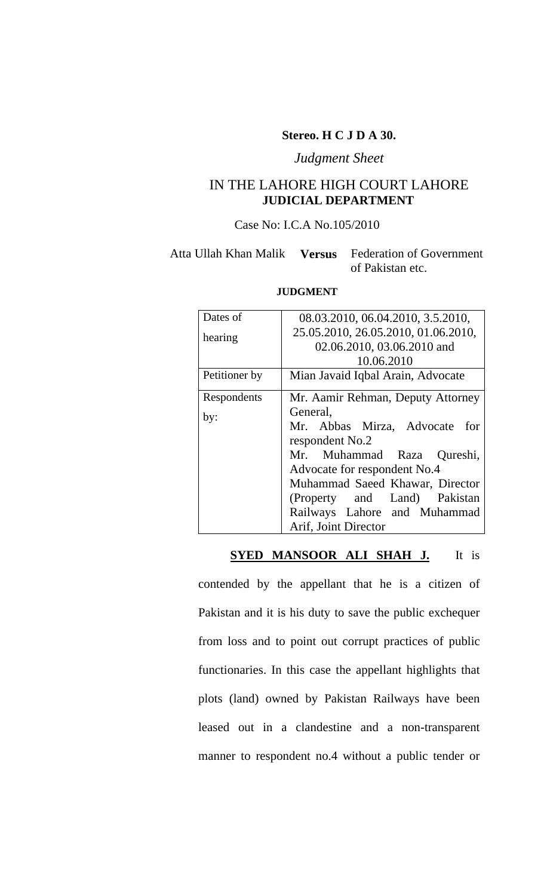#### **Stereo. H C J D A 30.**

#### *Judgment Sheet*

### IN THE LAHORE HIGH COURT LAHORE **JUDICIAL DEPARTMENT**

### Case No: I.C.A No.105/2010

### Atta Ullah Khan Malik **Versus** Federation of Government of Pakistan etc.

| Dates of      |                                     |
|---------------|-------------------------------------|
|               | 08.03.2010, 06.04.2010, 3.5.2010,   |
| hearing       | 25.05.2010, 26.05.2010, 01.06.2010, |
|               | 02.06.2010, 03.06.2010 and          |
|               | 10.06.2010                          |
| Petitioner by | Mian Javaid Iqbal Arain, Advocate   |
| Respondents   | Mr. Aamir Rehman, Deputy Attorney   |
| by:           | General,                            |
|               | Mr. Abbas Mirza, Advocate for       |
|               | respondent No.2                     |
|               | Mr. Muhammad Raza Qureshi,          |
|               | Advocate for respondent No.4        |
|               | Muhammad Saeed Khawar, Director     |
|               | (Property and Land) Pakistan        |
|               | Railways Lahore and Muhammad        |
|               | Arif, Joint Director                |

#### **JUDGMENT**

#### **SYED MANSOOR ALI SHAH J.** It is

contended by the appellant that he is a citizen of Pakistan and it is his duty to save the public exchequer from loss and to point out corrupt practices of public functionaries. In this case the appellant highlights that plots (land) owned by Pakistan Railways have been leased out in a clandestine and a non-transparent manner to respondent no.4 without a public tender or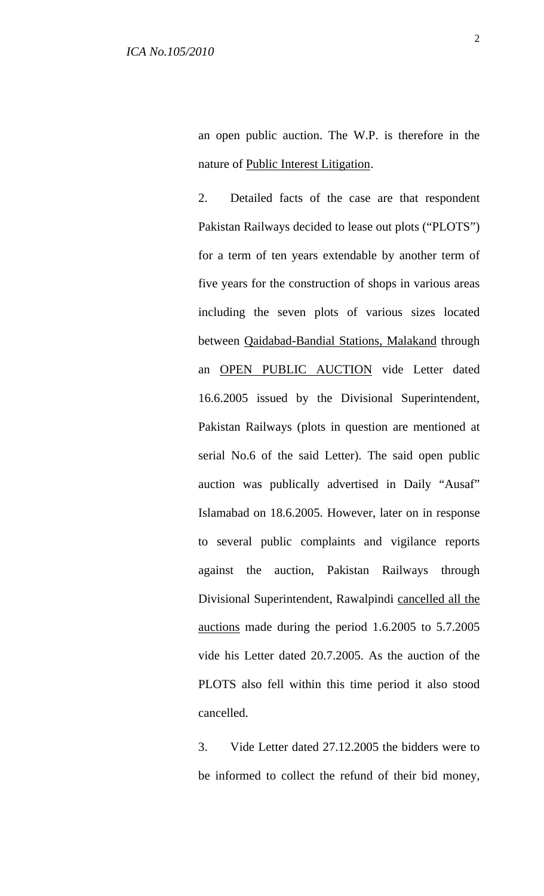an open public auction. The W.P. is therefore in the nature of Public Interest Litigation.

2. Detailed facts of the case are that respondent Pakistan Railways decided to lease out plots ("PLOTS") for a term of ten years extendable by another term of five years for the construction of shops in various areas including the seven plots of various sizes located between Qaidabad-Bandial Stations, Malakand through an OPEN PUBLIC AUCTION vide Letter dated 16.6.2005 issued by the Divisional Superintendent, Pakistan Railways (plots in question are mentioned at serial No.6 of the said Letter). The said open public auction was publically advertised in Daily "Ausaf" Islamabad on 18.6.2005. However, later on in response to several public complaints and vigilance reports against the auction, Pakistan Railways through Divisional Superintendent, Rawalpindi cancelled all the auctions made during the period 1.6.2005 to 5.7.2005 vide his Letter dated 20.7.2005. As the auction of the PLOTS also fell within this time period it also stood cancelled.

3. Vide Letter dated 27.12.2005 the bidders were to be informed to collect the refund of their bid money,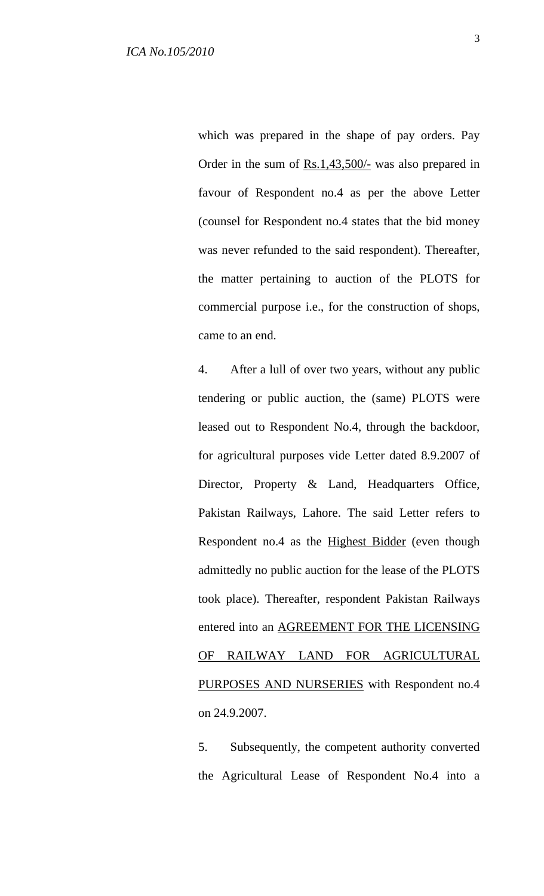which was prepared in the shape of pay orders. Pay Order in the sum of Rs.1,43,500/- was also prepared in favour of Respondent no.4 as per the above Letter (counsel for Respondent no.4 states that the bid money was never refunded to the said respondent). Thereafter, the matter pertaining to auction of the PLOTS for commercial purpose i.e., for the construction of shops, came to an end.

4. After a lull of over two years, without any public tendering or public auction, the (same) PLOTS were leased out to Respondent No.4, through the backdoor, for agricultural purposes vide Letter dated 8.9.2007 of Director, Property & Land, Headquarters Office, Pakistan Railways, Lahore. The said Letter refers to Respondent no.4 as the Highest Bidder (even though admittedly no public auction for the lease of the PLOTS took place). Thereafter, respondent Pakistan Railways entered into an AGREEMENT FOR THE LICENSING OF RAILWAY LAND FOR AGRICULTURAL PURPOSES AND NURSERIES with Respondent no.4 on 24.9.2007.

5. Subsequently, the competent authority converted the Agricultural Lease of Respondent No.4 into a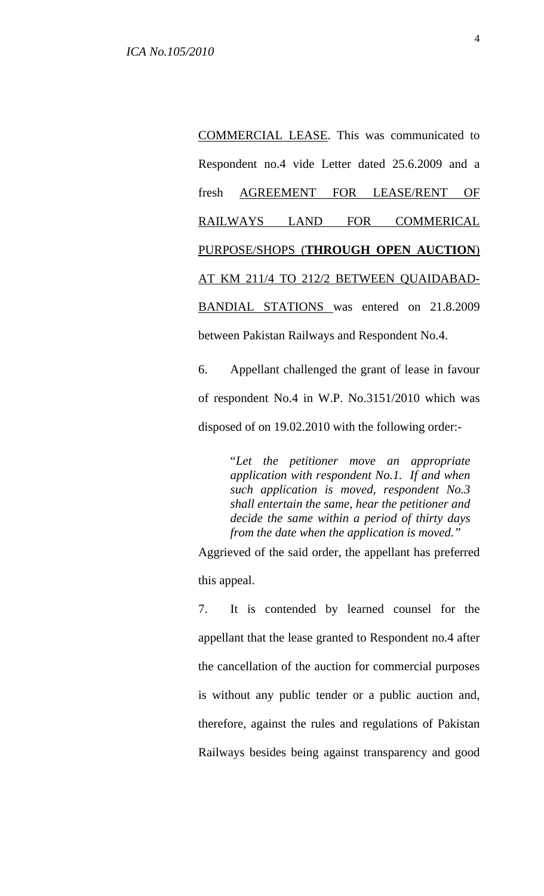COMMERCIAL LEASE. This was communicated to Respondent no.4 vide Letter dated 25.6.2009 and a fresh AGREEMENT FOR LEASE/RENT OF RAILWAYS LAND FOR COMMERICAL PURPOSE/SHOPS (**THROUGH OPEN AUCTION**) AT KM 211/4 TO 212/2 BETWEEN QUAIDABAD-BANDIAL STATIONS was entered on 21.8.2009 between Pakistan Railways and Respondent No.4.

6. Appellant challenged the grant of lease in favour of respondent No.4 in W.P. No.3151/2010 which was disposed of on 19.02.2010 with the following order:-

> "*Let the petitioner move an appropriate application with respondent No.1. If and when such application is moved, respondent No.3 shall entertain the same, hear the petitioner and decide the same within a period of thirty days from the date when the application is moved."*

Aggrieved of the said order, the appellant has preferred this appeal.

7. It is contended by learned counsel for the appellant that the lease granted to Respondent no.4 after the cancellation of the auction for commercial purposes is without any public tender or a public auction and, therefore, against the rules and regulations of Pakistan Railways besides being against transparency and good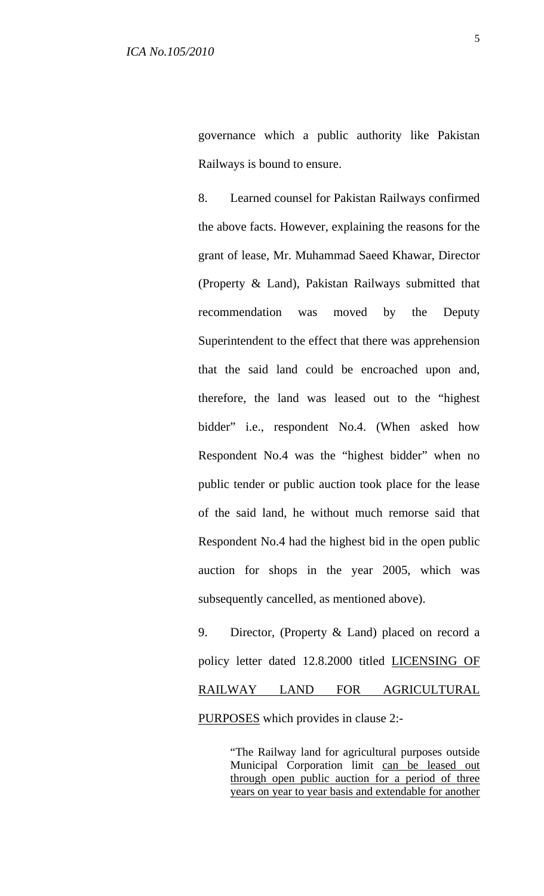governance which a public authority like Pakistan Railways is bound to ensure.

8. Learned counsel for Pakistan Railways confirmed the above facts. However, explaining the reasons for the grant of lease, Mr. Muhammad Saeed Khawar, Director (Property & Land), Pakistan Railways submitted that recommendation was moved by the Deputy Superintendent to the effect that there was apprehension that the said land could be encroached upon and, therefore, the land was leased out to the "highest bidder" i.e., respondent No.4. (When asked how Respondent No.4 was the "highest bidder" when no public tender or public auction took place for the lease of the said land, he without much remorse said that Respondent No.4 had the highest bid in the open public auction for shops in the year 2005, which was subsequently cancelled, as mentioned above).

9. Director, (Property & Land) placed on record a policy letter dated 12.8.2000 titled LICENSING OF RAILWAY LAND FOR AGRICULTURAL PURPOSES which provides in clause 2:-

> "The Railway land for agricultural purposes outside Municipal Corporation limit can be leased out through open public auction for a period of three years on year to year basis and extendable for another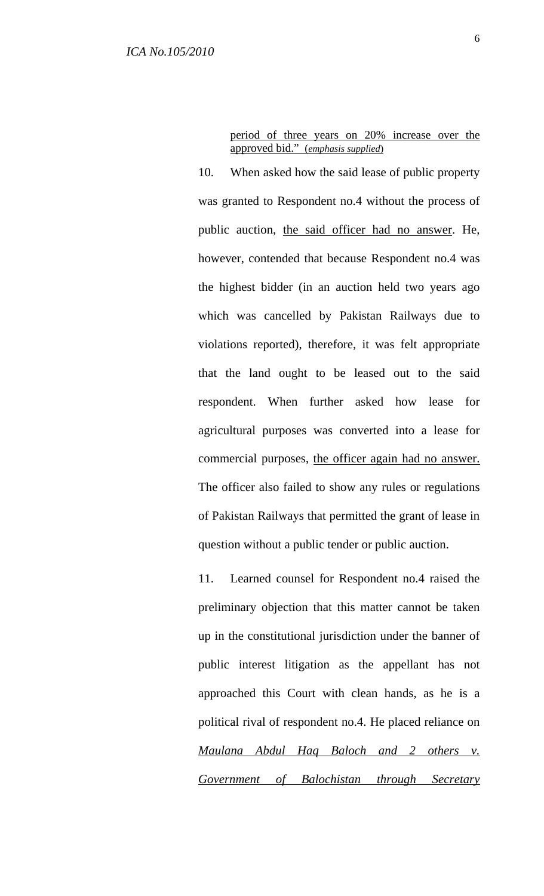period of three years on 20% increase over the approved bid." (*emphasis supplied*)

10. When asked how the said lease of public property was granted to Respondent no.4 without the process of public auction, the said officer had no answer. He, however, contended that because Respondent no.4 was the highest bidder (in an auction held two years ago which was cancelled by Pakistan Railways due to violations reported), therefore, it was felt appropriate that the land ought to be leased out to the said respondent. When further asked how lease for agricultural purposes was converted into a lease for commercial purposes, the officer again had no answer. The officer also failed to show any rules or regulations of Pakistan Railways that permitted the grant of lease in question without a public tender or public auction.

11. Learned counsel for Respondent no.4 raised the preliminary objection that this matter cannot be taken up in the constitutional jurisdiction under the banner of public interest litigation as the appellant has not approached this Court with clean hands, as he is a political rival of respondent no.4. He placed reliance on *Maulana Abdul Haq Baloch and 2 others v. Government of Balochistan through Secretary*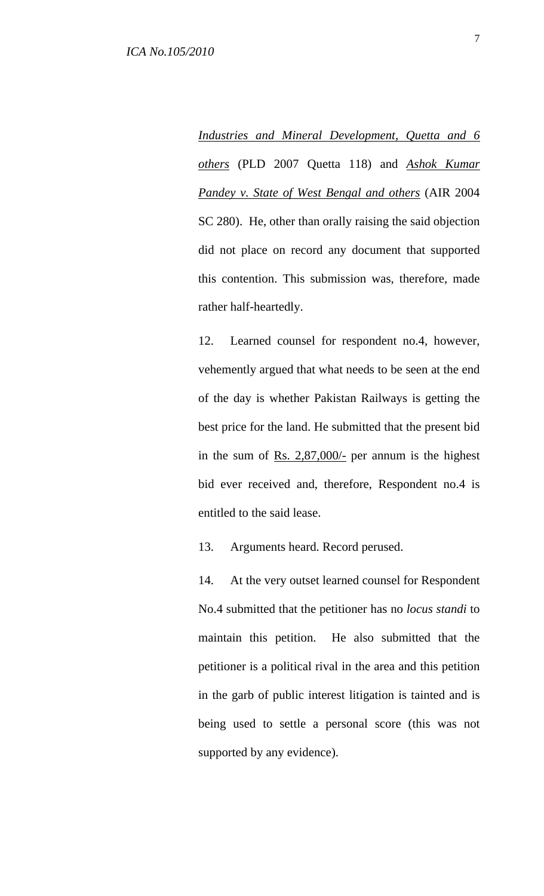*Industries and Mineral Development, Quetta and 6 others* (PLD 2007 Quetta 118) and *Ashok Kumar Pandey v. State of West Bengal and others* (AIR 2004 SC 280). He, other than orally raising the said objection did not place on record any document that supported this contention. This submission was, therefore, made rather half-heartedly.

12. Learned counsel for respondent no.4, however, vehemently argued that what needs to be seen at the end of the day is whether Pakistan Railways is getting the best price for the land. He submitted that the present bid in the sum of Rs.  $2,87,000/$ - per annum is the highest bid ever received and, therefore, Respondent no.4 is entitled to the said lease.

13. Arguments heard. Record perused.

14. At the very outset learned counsel for Respondent No.4 submitted that the petitioner has no *locus standi* to maintain this petition. He also submitted that the petitioner is a political rival in the area and this petition in the garb of public interest litigation is tainted and is being used to settle a personal score (this was not supported by any evidence).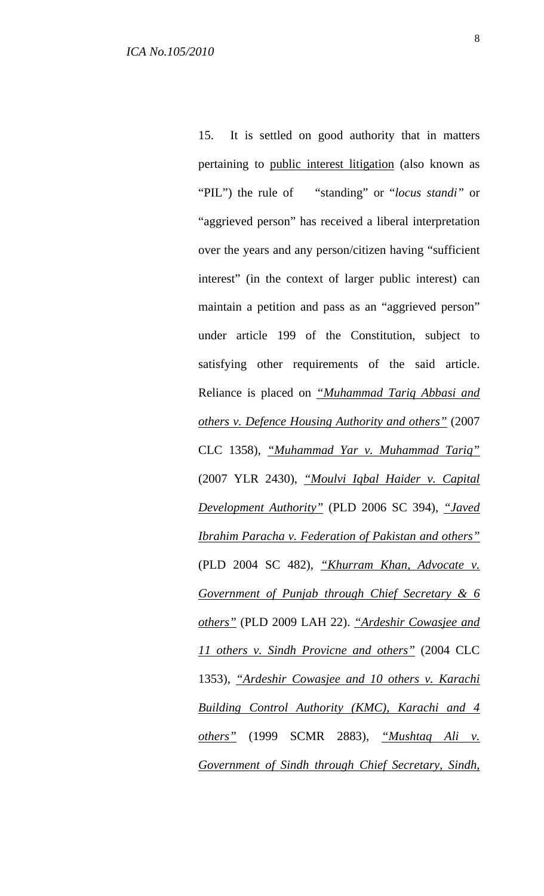15. It is settled on good authority that in matters pertaining to public interest litigation (also known as "PIL") the rule of "standing" or "*locus standi"* or "aggrieved person" has received a liberal interpretation over the years and any person/citizen having "sufficient interest" (in the context of larger public interest) can maintain a petition and pass as an "aggrieved person" under article 199 of the Constitution, subject to satisfying other requirements of the said article. Reliance is placed on *"Muhammad Tariq Abbasi and others v. Defence Housing Authority and others"* (2007 CLC 1358), *"Muhammad Yar v. Muhammad Tariq"* (2007 YLR 2430), *"Moulvi Iqbal Haider v. Capital Development Authority"* (PLD 2006 SC 394), *"Javed Ibrahim Paracha v. Federation of Pakistan and others"* (PLD 2004 SC 482), *"Khurram Khan, Advocate v. Government of Punjab through Chief Secretary & 6 others"* (PLD 2009 LAH 22). *"Ardeshir Cowasjee and 11 others v. Sindh Provicne and others"* (2004 CLC 1353), *"Ardeshir Cowasjee and 10 others v. Karachi Building Control Authority (KMC), Karachi and 4 others"* (1999 SCMR 2883), *"Mushtaq Ali v. Government of Sindh through Chief Secretary, Sindh,*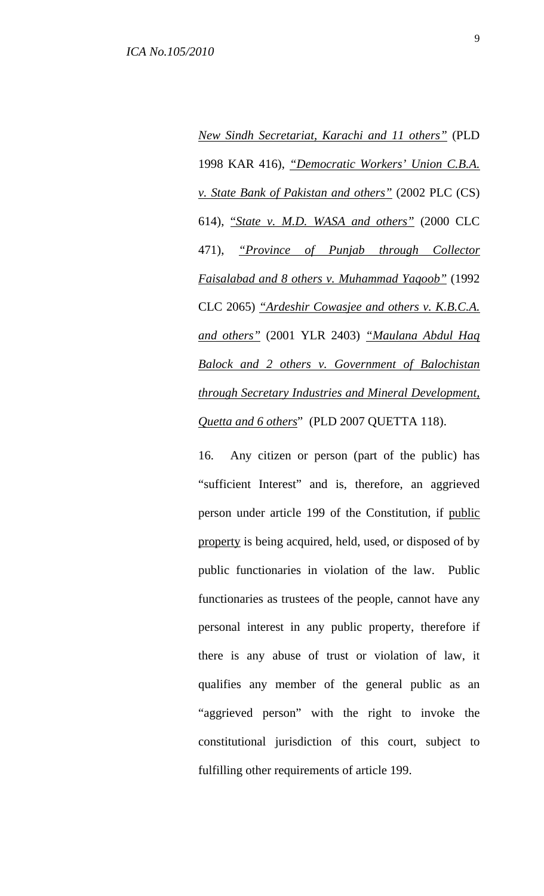*New Sindh Secretariat, Karachi and 11 others"* (PLD 1998 KAR 416), *"Democratic Workers' Union C.B.A. v. State Bank of Pakistan and others"* (2002 PLC (CS) 614), "*State v. M.D. WASA and others"* (2000 CLC 471), *"Province of Punjab through Collector Faisalabad and 8 others v. Muhammad Yaqoob"* (1992 CLC 2065) *"Ardeshir Cowasjee and others v. K.B.C.A. and others"* (2001 YLR 2403) *"Maulana Abdul Haq Balock and 2 others v. Government of Balochistan through Secretary Industries and Mineral Development, Quetta and 6 others*" (PLD 2007 QUETTA 118).

16. Any citizen or person (part of the public) has "sufficient Interest" and is, therefore, an aggrieved person under article 199 of the Constitution, if public property is being acquired, held, used, or disposed of by public functionaries in violation of the law. Public functionaries as trustees of the people, cannot have any personal interest in any public property, therefore if there is any abuse of trust or violation of law, it qualifies any member of the general public as an "aggrieved person" with the right to invoke the constitutional jurisdiction of this court, subject to fulfilling other requirements of article 199.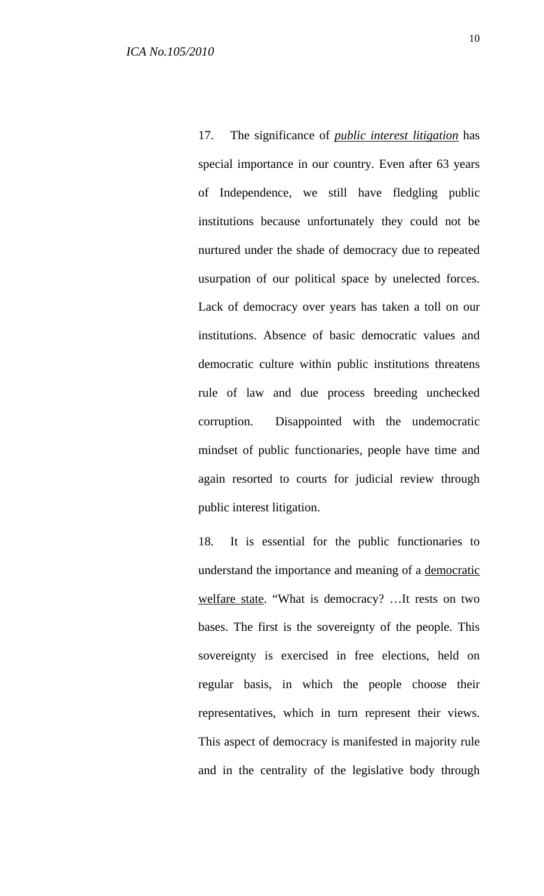17. The significance of *public interest litigation* has special importance in our country. Even after 63 years of Independence, we still have fledgling public institutions because unfortunately they could not be nurtured under the shade of democracy due to repeated usurpation of our political space by unelected forces. Lack of democracy over years has taken a toll on our institutions. Absence of basic democratic values and democratic culture within public institutions threatens rule of law and due process breeding unchecked corruption. Disappointed with the undemocratic mindset of public functionaries, people have time and again resorted to courts for judicial review through public interest litigation.

18. It is essential for the public functionaries to understand the importance and meaning of a democratic welfare state. "What is democracy? …It rests on two bases. The first is the sovereignty of the people. This sovereignty is exercised in free elections, held on regular basis, in which the people choose their representatives, which in turn represent their views. This aspect of democracy is manifested in majority rule and in the centrality of the legislative body through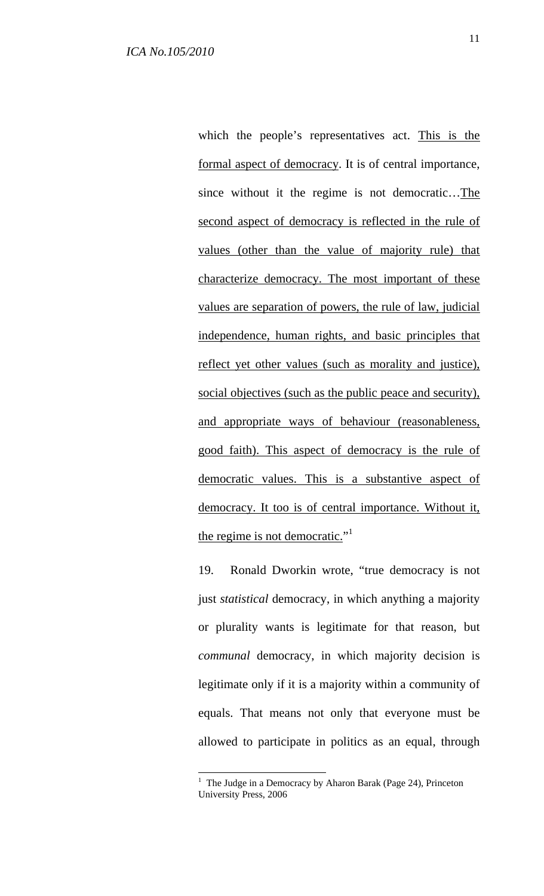which the people's representatives act. This is the formal aspect of democracy. It is of central importance, since without it the regime is not democratic…The second aspect of democracy is reflected in the rule of values (other than the value of majority rule) that characterize democracy. The most important of these values are separation of powers, the rule of law, judicial independence, human rights, and basic principles that reflect yet other values (such as morality and justice), social objectives (such as the public peace and security), and appropriate ways of behaviour (reasonableness, good faith). This aspect of democracy is the rule of democratic values. This is a substantive aspect of democracy. It too is of central importance. Without it, the regime is not democratic."<sup>1</sup>

19. Ronald Dworkin wrote, "true democracy is not just *statistical* democracy, in which anything a majority or plurality wants is legitimate for that reason, but *communal* democracy, in which majority decision is legitimate only if it is a majority within a community of equals. That means not only that everyone must be allowed to participate in politics as an equal, through

 $\overline{a}$ 

<sup>&</sup>lt;sup>1</sup> The Judge in a Democracy by Aharon Barak (Page 24), Princeton University Press, 2006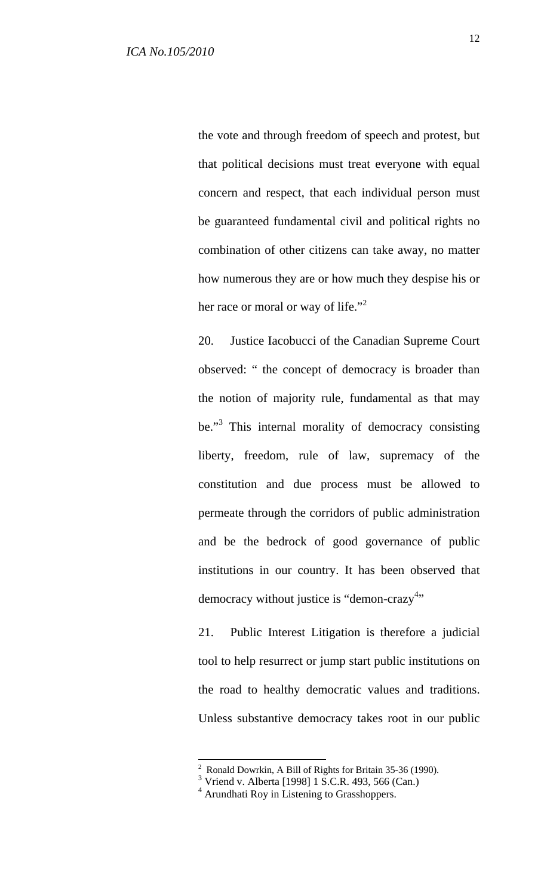the vote and through freedom of speech and protest, but that political decisions must treat everyone with equal concern and respect, that each individual person must be guaranteed fundamental civil and political rights no combination of other citizens can take away, no matter how numerous they are or how much they despise his or her race or moral or way of life."<sup>2</sup>

20. Justice Iacobucci of the Canadian Supreme Court observed: " the concept of democracy is broader than the notion of majority rule, fundamental as that may be."<sup>3</sup> This internal morality of democracy consisting liberty, freedom, rule of law, supremacy of the constitution and due process must be allowed to permeate through the corridors of public administration and be the bedrock of good governance of public institutions in our country. It has been observed that democracy without justice is "demon-crazy"

21. Public Interest Litigation is therefore a judicial tool to help resurrect or jump start public institutions on the road to healthy democratic values and traditions. Unless substantive democracy takes root in our public

 2 Ronald Dowrkin, A Bill of Rights for Britain 35-36 (1990).

<sup>3</sup> Vriend v. Alberta [1998] 1 S.C.R. 493, 566 (Can.)

<sup>4</sup> Arundhati Roy in Listening to Grasshoppers.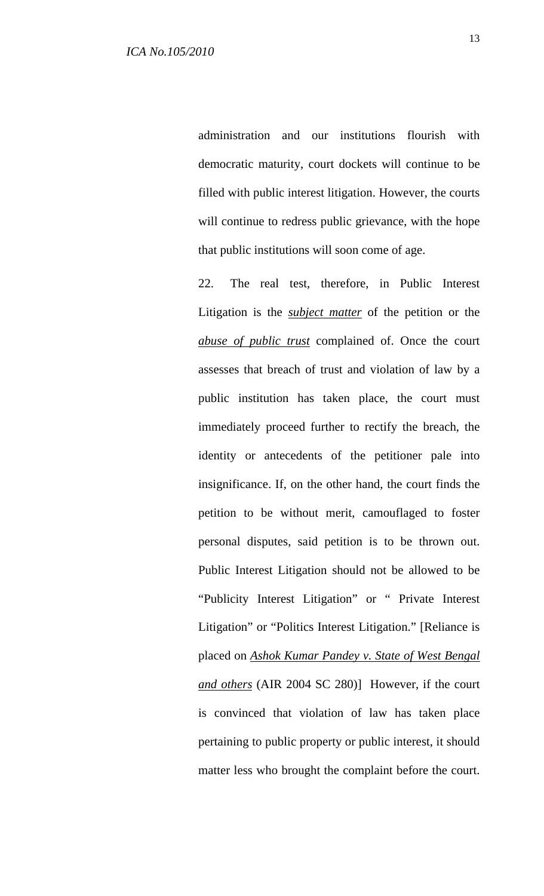administration and our institutions flourish with democratic maturity, court dockets will continue to be filled with public interest litigation. However, the courts will continue to redress public grievance, with the hope that public institutions will soon come of age.

22. The real test, therefore, in Public Interest Litigation is the *subject matter* of the petition or the *abuse of public trust* complained of. Once the court assesses that breach of trust and violation of law by a public institution has taken place, the court must immediately proceed further to rectify the breach, the identity or antecedents of the petitioner pale into insignificance. If, on the other hand, the court finds the petition to be without merit, camouflaged to foster personal disputes, said petition is to be thrown out. Public Interest Litigation should not be allowed to be "Publicity Interest Litigation" or " Private Interest Litigation" or "Politics Interest Litigation." [Reliance is placed on *Ashok Kumar Pandey v. State of West Bengal and others* (AIR 2004 SC 280)] However, if the court is convinced that violation of law has taken place pertaining to public property or public interest, it should matter less who brought the complaint before the court.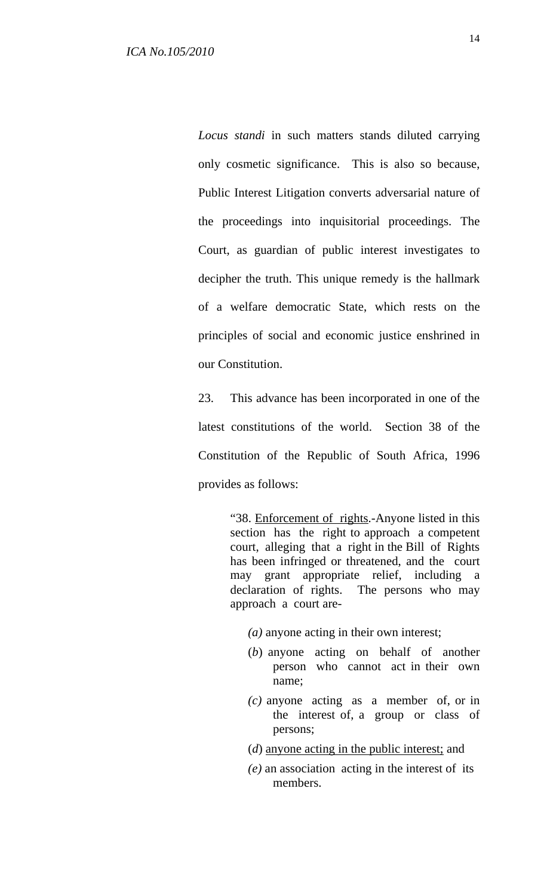*Locus standi* in such matters stands diluted carrying only cosmetic significance. This is also so because, Public Interest Litigation converts adversarial nature of the proceedings into inquisitorial proceedings. The Court, as guardian of public interest investigates to decipher the truth. This unique remedy is the hallmark of a welfare democratic State, which rests on the principles of social and economic justice enshrined in our Constitution.

23. This advance has been incorporated in one of the latest constitutions of the world. Section 38 of the Constitution of the Republic of South Africa, 1996 provides as follows:

> "38. Enforcement of rights.-Anyone listed in this section has the right to approach a competent court, alleging that a right in the Bill of Rights has been infringed or threatened, and the court may grant appropriate relief, including a declaration of rights. The persons who may approach a court are-

 *(a)* anyone acting in their own interest;

- (*b*) anyone acting on behalf of another person who cannot act in their own name;
- *(c)* anyone acting as a member of, or in the interest of, a group or class of persons;
- (*d*) anyone acting in the public interest; and
- *(e)* an association acting in the interest of its members.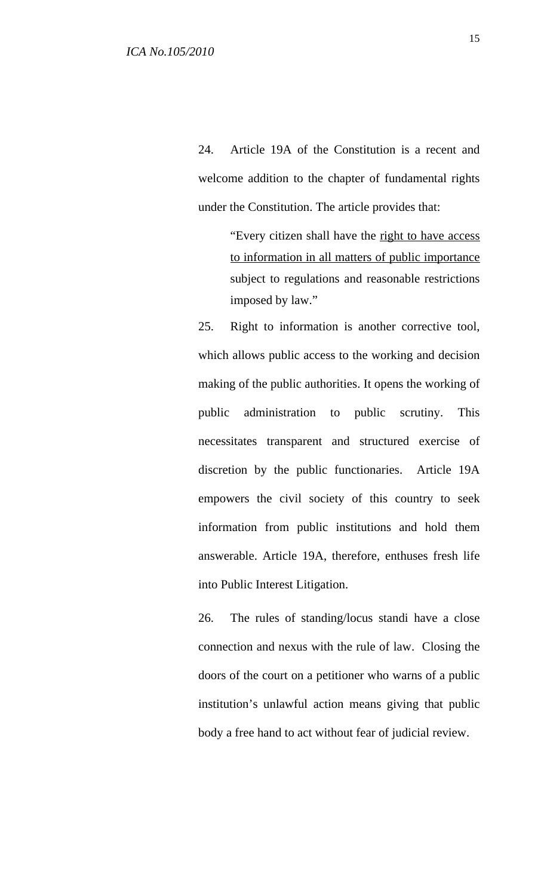24. Article 19A of the Constitution is a recent and welcome addition to the chapter of fundamental rights under the Constitution. The article provides that:

> "Every citizen shall have the right to have access to information in all matters of public importance subject to regulations and reasonable restrictions imposed by law."

25. Right to information is another corrective tool, which allows public access to the working and decision making of the public authorities. It opens the working of public administration to public scrutiny. This necessitates transparent and structured exercise of discretion by the public functionaries. Article 19A empowers the civil society of this country to seek information from public institutions and hold them answerable. Article 19A, therefore, enthuses fresh life into Public Interest Litigation.

26. The rules of standing/locus standi have a close connection and nexus with the rule of law. Closing the doors of the court on a petitioner who warns of a public institution's unlawful action means giving that public body a free hand to act without fear of judicial review.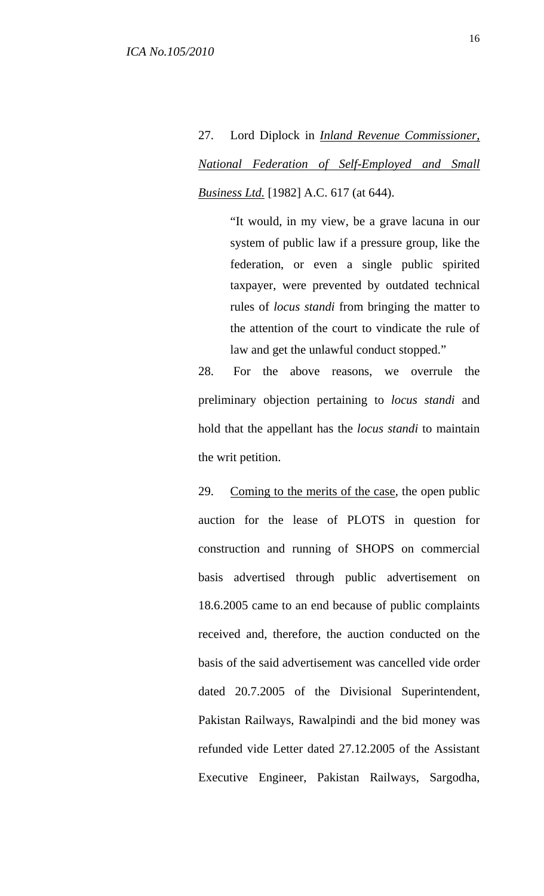27. Lord Diplock in *Inland Revenue Commissioner, National Federation of Self-Employed and Small Business Ltd.* [1982] A.C. 617 (at 644).

> "It would, in my view, be a grave lacuna in our system of public law if a pressure group, like the federation, or even a single public spirited taxpayer, were prevented by outdated technical rules of *locus standi* from bringing the matter to the attention of the court to vindicate the rule of law and get the unlawful conduct stopped."

28. For the above reasons, we overrule the preliminary objection pertaining to *locus standi* and hold that the appellant has the *locus standi* to maintain the writ petition.

29. Coming to the merits of the case, the open public auction for the lease of PLOTS in question for construction and running of SHOPS on commercial basis advertised through public advertisement on 18.6.2005 came to an end because of public complaints received and, therefore, the auction conducted on the basis of the said advertisement was cancelled vide order dated 20.7.2005 of the Divisional Superintendent, Pakistan Railways, Rawalpindi and the bid money was refunded vide Letter dated 27.12.2005 of the Assistant Executive Engineer, Pakistan Railways, Sargodha,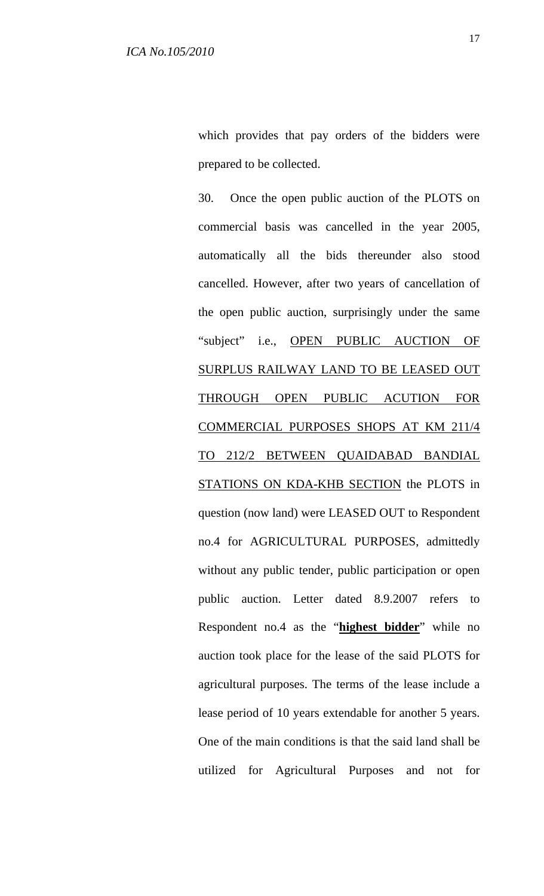30. Once the open public auction of the PLOTS on commercial basis was cancelled in the year 2005, automatically all the bids thereunder also stood cancelled. However, after two years of cancellation of the open public auction, surprisingly under the same "subject" i.e., OPEN PUBLIC AUCTION OF SURPLUS RAILWAY LAND TO BE LEASED OUT THROUGH OPEN PUBLIC ACUTION FOR COMMERCIAL PURPOSES SHOPS AT KM 211/4 TO 212/2 BETWEEN QUAIDABAD BANDIAL STATIONS ON KDA-KHB SECTION the PLOTS in question (now land) were LEASED OUT to Respondent no.4 for AGRICULTURAL PURPOSES, admittedly without any public tender, public participation or open public auction. Letter dated 8.9.2007 refers to Respondent no.4 as the "**highest bidder**" while no auction took place for the lease of the said PLOTS for agricultural purposes. The terms of the lease include a lease period of 10 years extendable for another 5 years. One of the main conditions is that the said land shall be utilized for Agricultural Purposes and not for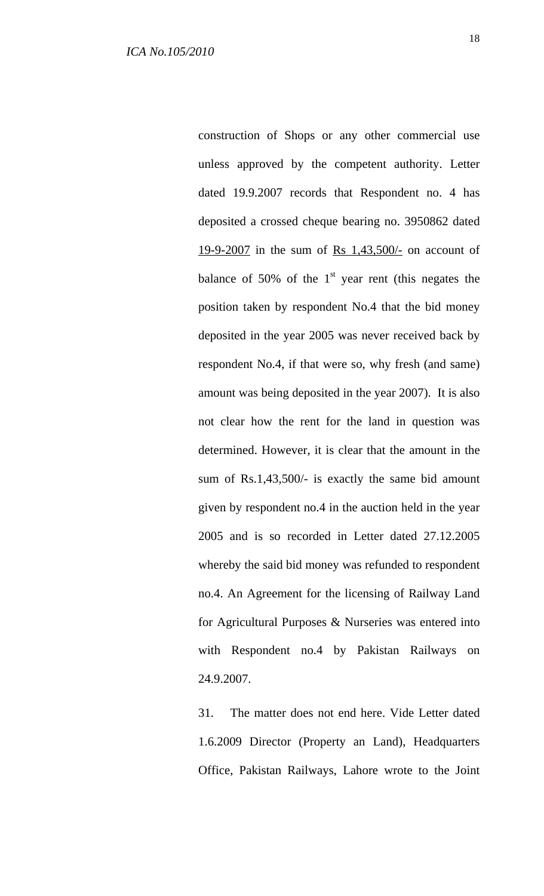construction of Shops or any other commercial use unless approved by the competent authority. Letter dated 19.9.2007 records that Respondent no. 4 has deposited a crossed cheque bearing no. 3950862 dated 19-9-2007 in the sum of Rs  $1,43,500/$ - on account of balance of 50% of the  $1<sup>st</sup>$  year rent (this negates the position taken by respondent No.4 that the bid money deposited in the year 2005 was never received back by respondent No.4, if that were so, why fresh (and same) amount was being deposited in the year 2007). It is also not clear how the rent for the land in question was determined. However, it is clear that the amount in the sum of Rs.1,43,500/- is exactly the same bid amount given by respondent no.4 in the auction held in the year 2005 and is so recorded in Letter dated 27.12.2005 whereby the said bid money was refunded to respondent no.4. An Agreement for the licensing of Railway Land for Agricultural Purposes & Nurseries was entered into with Respondent no.4 by Pakistan Railways on 24.9.2007.

31. The matter does not end here. Vide Letter dated 1.6.2009 Director (Property an Land), Headquarters Office, Pakistan Railways, Lahore wrote to the Joint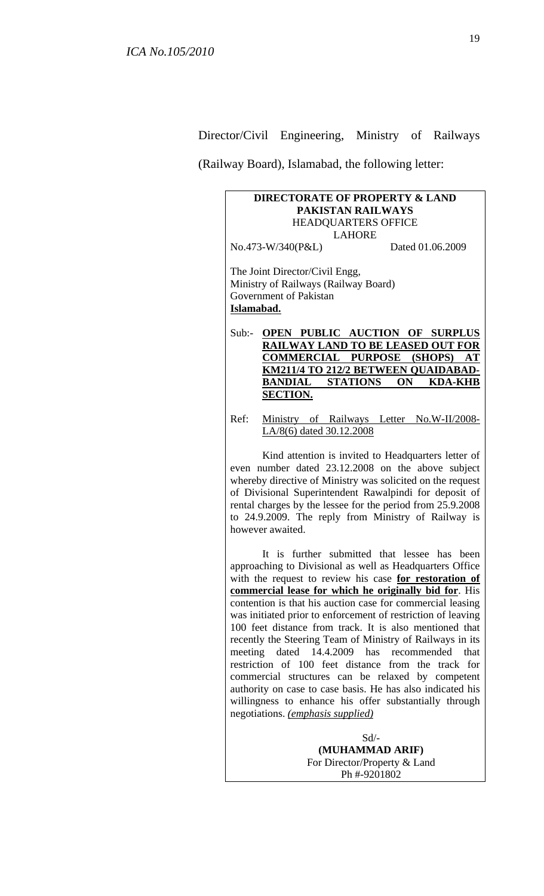Director/Civil Engineering, Ministry of Railways

(Railway Board), Islamabad, the following letter:

## **DIRECTORATE OF PROPERTY & LAND PAKISTAN RAILWAYS**  HEADQUARTERS OFFICE LAHORE No.473-W/340(P&L) Dated 01.06.2009 The Joint Director/Civil Engg, Ministry of Railways (Railway Board) Government of Pakistan **Islamabad.** Sub:- **OPEN PUBLIC AUCTION OF SURPLUS RAILWAY LAND TO BE LEASED OUT FOR COMMERCIAL PURPOSE (SHOPS) AT KM211/4 TO 212/2 BETWEEN QUAIDABAD-BANDIAL STATIONS ON KDA-KHB SECTION.** Ref: Ministry of Railways Letter No.W-II/2008- LA/8(6) dated 30.12.2008 Kind attention is invited to Headquarters letter of even number dated 23.12.2008 on the above subject whereby directive of Ministry was solicited on the request of Divisional Superintendent Rawalpindi for deposit of rental charges by the lessee for the period from 25.9.2008 to 24.9.2009. The reply from Ministry of Railway is however awaited. It is further submitted that lessee has been

approaching to Divisional as well as Headquarters Office with the request to review his case **for restoration of commercial lease for which he originally bid for**. His contention is that his auction case for commercial leasing was initiated prior to enforcement of restriction of leaving 100 feet distance from track. It is also mentioned that recently the Steering Team of Ministry of Railways in its meeting dated 14.4.2009 has recommended that restriction of 100 feet distance from the track for commercial structures can be relaxed by competent authority on case to case basis. He has also indicated his willingness to enhance his offer substantially through negotiations. *(emphasis supplied)*

> Sd/- **(MUHAMMAD ARIF)**  For Director/Property & Land Ph #-9201802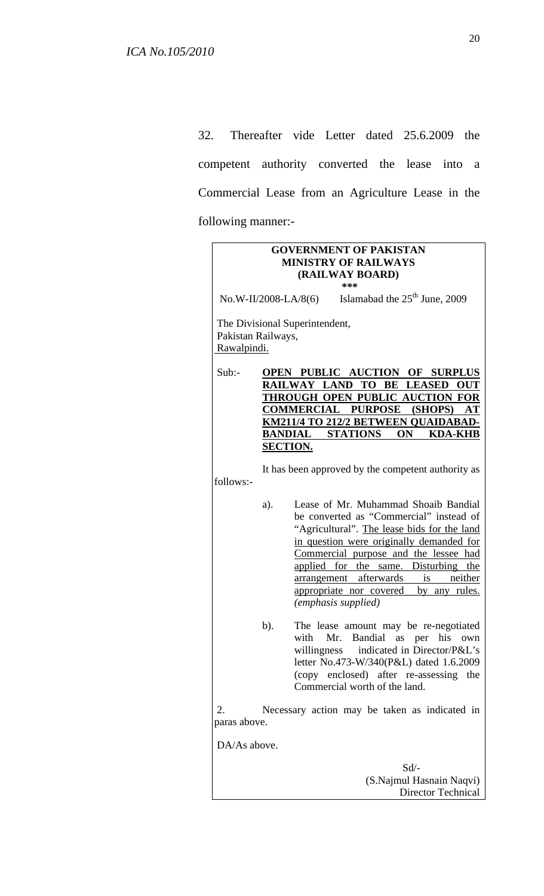32. Thereafter vide Letter dated 25.6.2009 the competent authority converted the lease into a Commercial Lease from an Agriculture Lease in the following manner:-

| <b>GOVERNMENT OF PAKISTAN</b><br><b>MINISTRY OF RAILWAYS</b><br>(RAILWAY BOARD) |        |                                                                                                                                                                                                                                                                                                                                                                         |
|---------------------------------------------------------------------------------|--------|-------------------------------------------------------------------------------------------------------------------------------------------------------------------------------------------------------------------------------------------------------------------------------------------------------------------------------------------------------------------------|
| No.W-II/2008-LA/8(6) Islamabad the $25th$ June, 2009                            |        |                                                                                                                                                                                                                                                                                                                                                                         |
| The Divisional Superintendent,<br>Pakistan Railways,<br>Rawalpindi.             |        |                                                                                                                                                                                                                                                                                                                                                                         |
| Sub:                                                                            |        | OPEN PUBLIC AUCTION OF SURPLUS<br>RAILWAY LAND TO BE LEASED<br><b>OUT</b><br>THROUGH OPEN PUBLIC AUCTION FOR<br><b>COMMERCIAL PURPOSE (SHOPS)</b><br>AT<br><u>KM211/4 TO 212/2 BETWEEN QUAIDABAD-</u><br><b>BANDIAL STATIONS ON KDA-KHB</b><br><b>SECTION.</b>                                                                                                          |
| It has been approved by the competent authority as<br>follows:-                 |        |                                                                                                                                                                                                                                                                                                                                                                         |
|                                                                                 | a).    | Lease of Mr. Muhammad Shoaib Bandial<br>be converted as "Commercial" instead of<br>"Agricultural". The lease bids for the land<br>in question were originally demanded for<br>Commercial purpose and the lessee had<br>applied for the same. Disturbing the<br>arrangement afterwards is neither<br>appropriate nor covered by any rules.<br><i>(emphasis supplied)</i> |
|                                                                                 | $b)$ . | The lease amount may be re-negotiated<br>with Mr. Bandial as per his own<br>indicated in Director/P&L's<br>willingness<br>letter No.473-W/340(P&L) dated 1.6.2009<br>(copy enclosed) after re-assessing the<br>Commercial worth of the land.                                                                                                                            |
| Necessary action may be taken as indicated in<br>2.<br>paras above.             |        |                                                                                                                                                                                                                                                                                                                                                                         |
| DA/As above.                                                                    |        |                                                                                                                                                                                                                                                                                                                                                                         |
|                                                                                 |        | $Sd$ /-<br>(S.Najmul Hasnain Naqvi)<br>Director Technical                                                                                                                                                                                                                                                                                                               |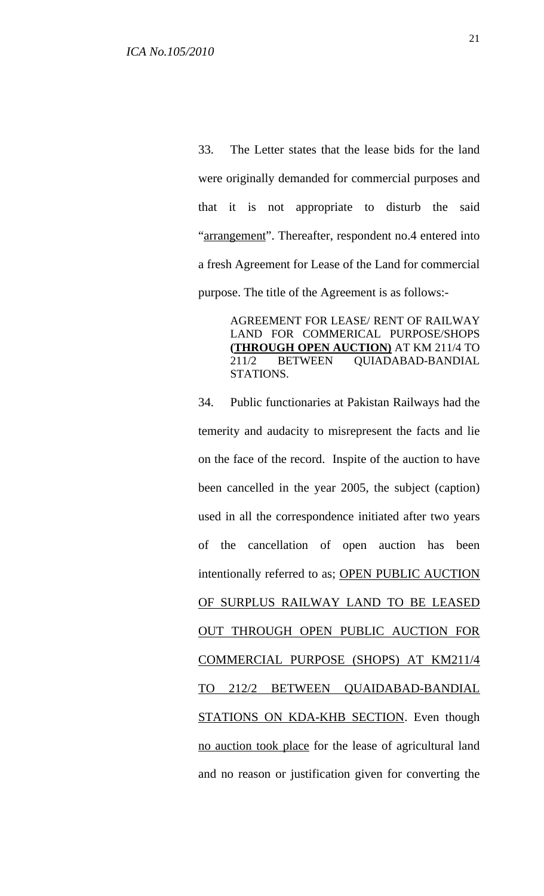33. The Letter states that the lease bids for the land were originally demanded for commercial purposes and that it is not appropriate to disturb the said "arrangement". Thereafter, respondent no.4 entered into a fresh Agreement for Lease of the Land for commercial purpose. The title of the Agreement is as follows:-

> AGREEMENT FOR LEASE/ RENT OF RAILWAY LAND FOR COMMERICAL PURPOSE/SHOPS **(THROUGH OPEN AUCTION)** AT KM 211/4 TO 211/2 BETWEEN QUIADABAD-BANDIAL STATIONS.

34. Public functionaries at Pakistan Railways had the temerity and audacity to misrepresent the facts and lie on the face of the record. Inspite of the auction to have been cancelled in the year 2005, the subject (caption) used in all the correspondence initiated after two years of the cancellation of open auction has been intentionally referred to as; OPEN PUBLIC AUCTION OF SURPLUS RAILWAY LAND TO BE LEASED OUT THROUGH OPEN PUBLIC AUCTION FOR COMMERCIAL PURPOSE (SHOPS) AT KM211/4 TO 212/2 BETWEEN QUAIDABAD-BANDIAL STATIONS ON KDA-KHB SECTION. Even though no auction took place for the lease of agricultural land and no reason or justification given for converting the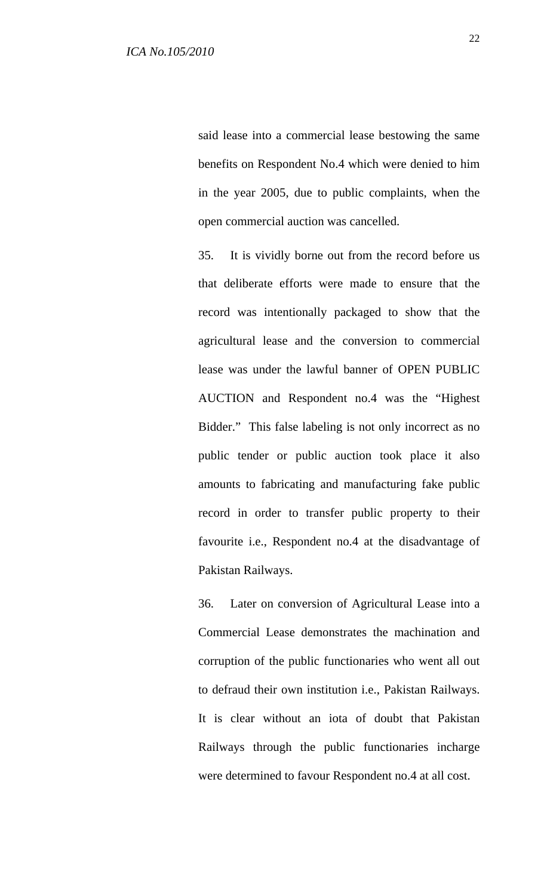said lease into a commercial lease bestowing the same benefits on Respondent No.4 which were denied to him in the year 2005, due to public complaints, when the open commercial auction was cancelled.

35. It is vividly borne out from the record before us that deliberate efforts were made to ensure that the record was intentionally packaged to show that the agricultural lease and the conversion to commercial lease was under the lawful banner of OPEN PUBLIC AUCTION and Respondent no.4 was the "Highest Bidder." This false labeling is not only incorrect as no public tender or public auction took place it also amounts to fabricating and manufacturing fake public record in order to transfer public property to their favourite i.e., Respondent no.4 at the disadvantage of Pakistan Railways.

36. Later on conversion of Agricultural Lease into a Commercial Lease demonstrates the machination and corruption of the public functionaries who went all out to defraud their own institution i.e., Pakistan Railways. It is clear without an iota of doubt that Pakistan Railways through the public functionaries incharge were determined to favour Respondent no.4 at all cost.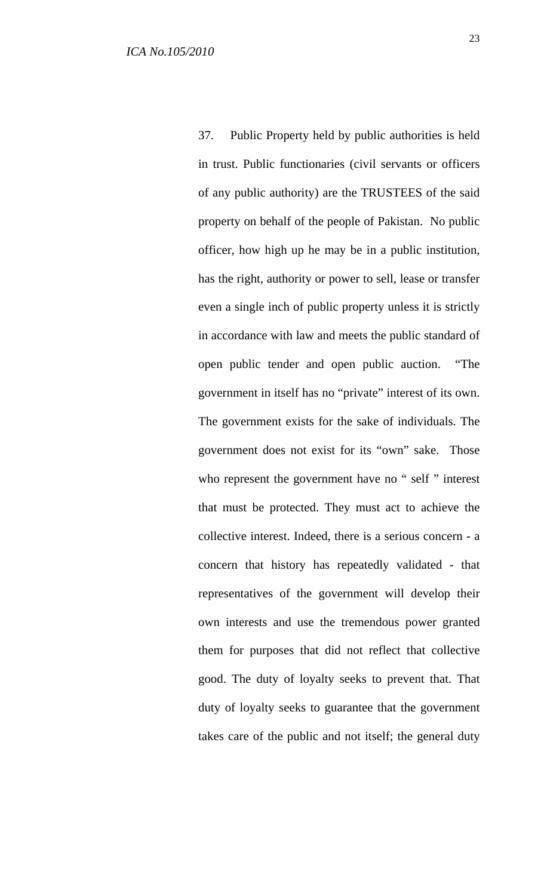37. Public Property held by public authorities is held in trust. Public functionaries (civil servants or officers of any public authority) are the TRUSTEES of the said property on behalf of the people of Pakistan. No public officer, how high up he may be in a public institution, has the right, authority or power to sell, lease or transfer even a single inch of public property unless it is strictly in accordance with law and meets the public standard of open public tender and open public auction. "The government in itself has no "private" interest of its own. The government exists for the sake of individuals. The government does not exist for its "own" sake. Those who represent the government have no " self " interest that must be protected. They must act to achieve the collective interest. Indeed, there is a serious concern - a concern that history has repeatedly validated - that representatives of the government will develop their own interests and use the tremendous power granted them for purposes that did not reflect that collective good. The duty of loyalty seeks to prevent that. That duty of loyalty seeks to guarantee that the government takes care of the public and not itself; the general duty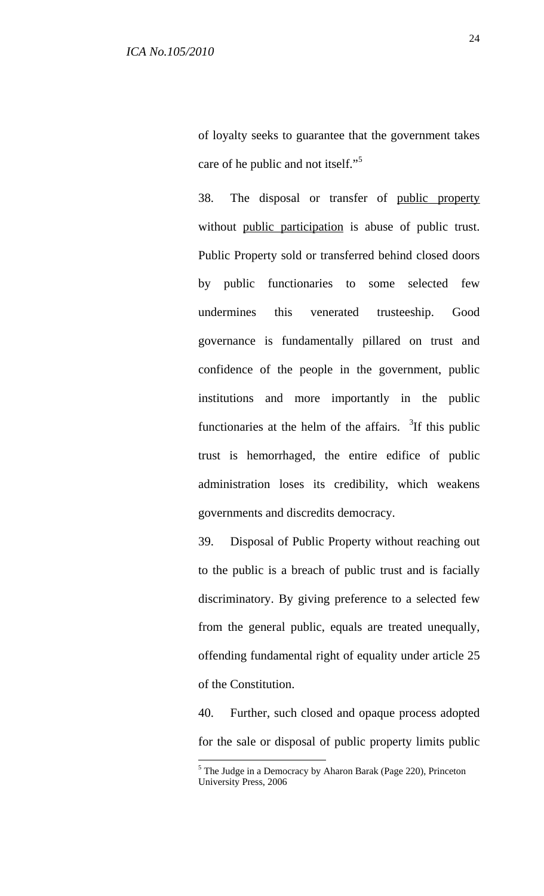of loyalty seeks to guarantee that the government takes care of he public and not itself."<sup>5</sup>

38. The disposal or transfer of public property without public participation is abuse of public trust. Public Property sold or transferred behind closed doors by public functionaries to some selected few undermines this venerated trusteeship. Good governance is fundamentally pillared on trust and confidence of the people in the government, public institutions and more importantly in the public functionaries at the helm of the affairs.  $\frac{3}{1}$ If this public trust is hemorrhaged, the entire edifice of public administration loses its credibility, which weakens governments and discredits democracy.

39. Disposal of Public Property without reaching out to the public is a breach of public trust and is facially discriminatory. By giving preference to a selected few from the general public, equals are treated unequally, offending fundamental right of equality under article 25 of the Constitution.

40. Further, such closed and opaque process adopted for the sale or disposal of public property limits public

 $\overline{a}$ 

<sup>&</sup>lt;sup>5</sup> The Judge in a Democracy by Aharon Barak (Page 220), Princeton University Press, 2006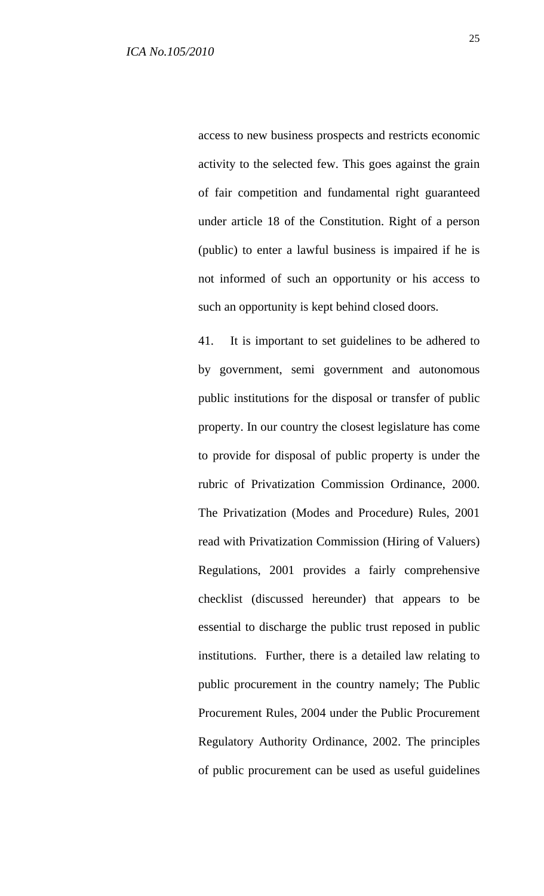access to new business prospects and restricts economic activity to the selected few. This goes against the grain of fair competition and fundamental right guaranteed under article 18 of the Constitution. Right of a person (public) to enter a lawful business is impaired if he is not informed of such an opportunity or his access to such an opportunity is kept behind closed doors.

41. It is important to set guidelines to be adhered to by government, semi government and autonomous public institutions for the disposal or transfer of public property. In our country the closest legislature has come to provide for disposal of public property is under the rubric of Privatization Commission Ordinance, 2000. The Privatization (Modes and Procedure) Rules, 2001 read with Privatization Commission (Hiring of Valuers) Regulations, 2001 provides a fairly comprehensive checklist (discussed hereunder) that appears to be essential to discharge the public trust reposed in public institutions. Further, there is a detailed law relating to public procurement in the country namely; The Public Procurement Rules, 2004 under the Public Procurement Regulatory Authority Ordinance, 2002. The principles of public procurement can be used as useful guidelines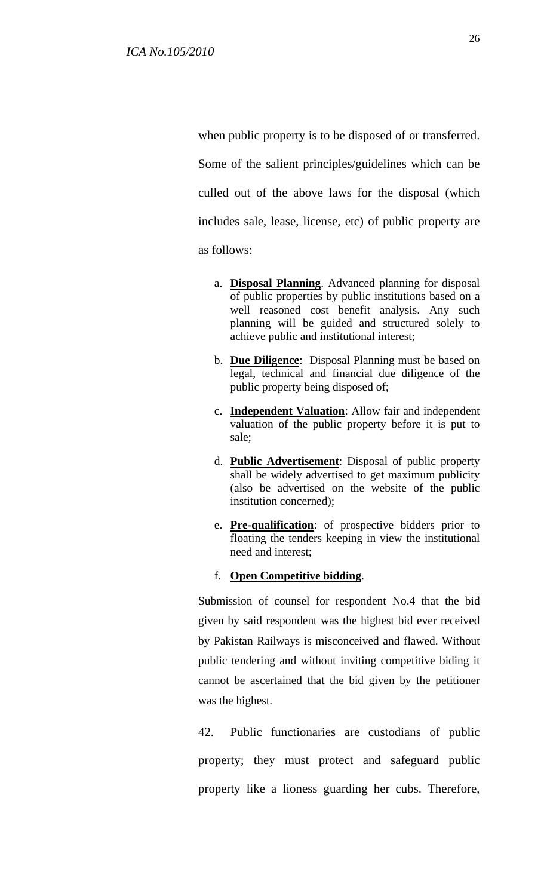when public property is to be disposed of or transferred. Some of the salient principles/guidelines which can be culled out of the above laws for the disposal (which includes sale, lease, license, etc) of public property are as follows:

- a. **Disposal Planning**. Advanced planning for disposal of public properties by public institutions based on a well reasoned cost benefit analysis. Any such planning will be guided and structured solely to achieve public and institutional interest;
- b. **Due Diligence**: Disposal Planning must be based on legal, technical and financial due diligence of the public property being disposed of;
- c. **Independent Valuation**: Allow fair and independent valuation of the public property before it is put to sale;
- d. **Public Advertisement**: Disposal of public property shall be widely advertised to get maximum publicity (also be advertised on the website of the public institution concerned);
- e. **Pre-qualification**: of prospective bidders prior to floating the tenders keeping in view the institutional need and interest;
- f. **Open Competitive bidding**.

Submission of counsel for respondent No.4 that the bid given by said respondent was the highest bid ever received by Pakistan Railways is misconceived and flawed. Without public tendering and without inviting competitive biding it cannot be ascertained that the bid given by the petitioner was the highest.

42. Public functionaries are custodians of public property; they must protect and safeguard public property like a lioness guarding her cubs. Therefore,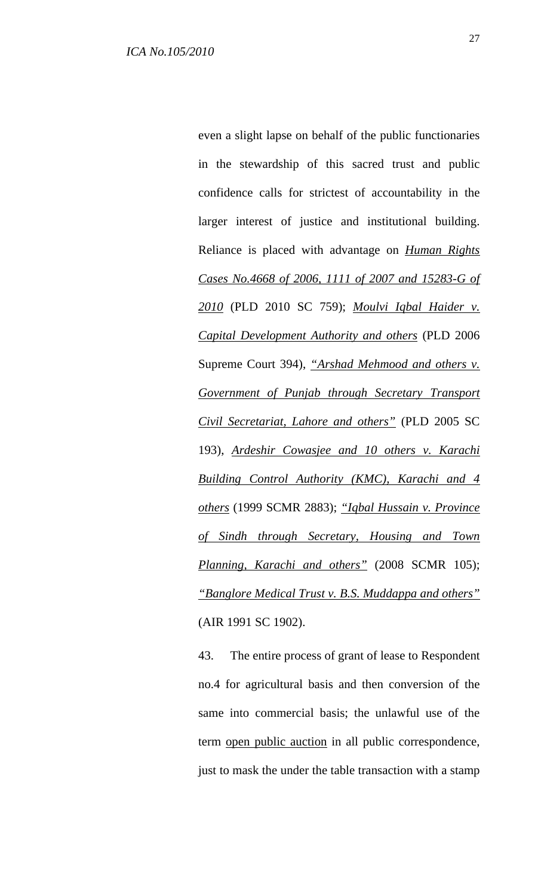even a slight lapse on behalf of the public functionaries in the stewardship of this sacred trust and public confidence calls for strictest of accountability in the larger interest of justice and institutional building. Reliance is placed with advantage on *Human Rights Cases No.4668 of 2006, 1111 of 2007 and 15283-G of 2010* (PLD 2010 SC 759); *Moulvi Iqbal Haider v. Capital Development Authority and others* (PLD 2006 Supreme Court 394), *"Arshad Mehmood and others v. Government of Punjab through Secretary Transport Civil Secretariat, Lahore and others"* (PLD 2005 SC 193), *Ardeshir Cowasjee and 10 others v. Karachi Building Control Authority (KMC), Karachi and 4 others* (1999 SCMR 2883); *"Iqbal Hussain v. Province of Sindh through Secretary, Housing and Town Planning, Karachi and others"* (2008 SCMR 105); *"Banglore Medical Trust v. B.S. Muddappa and others"* (AIR 1991 SC 1902).

43. The entire process of grant of lease to Respondent no.4 for agricultural basis and then conversion of the same into commercial basis; the unlawful use of the term open public auction in all public correspondence, just to mask the under the table transaction with a stamp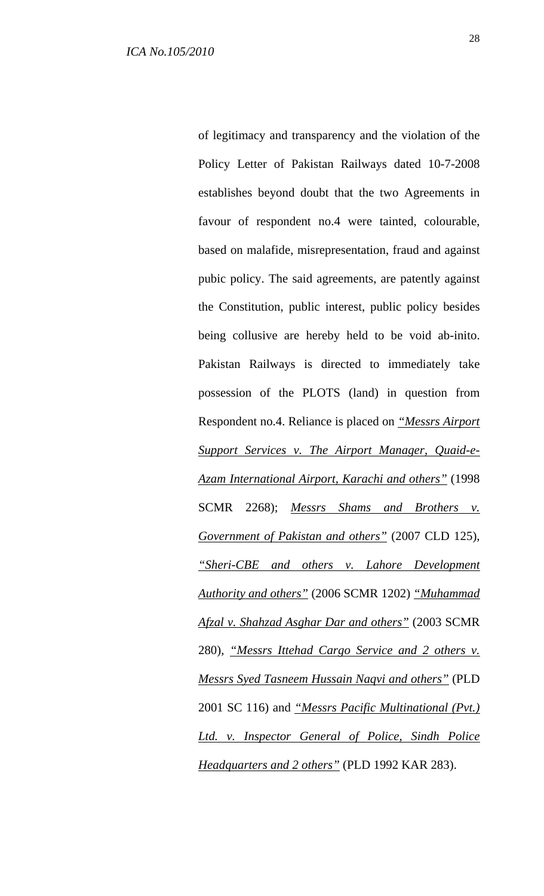of legitimacy and transparency and the violation of the Policy Letter of Pakistan Railways dated 10-7-2008 establishes beyond doubt that the two Agreements in favour of respondent no.4 were tainted, colourable, based on malafide, misrepresentation, fraud and against pubic policy. The said agreements, are patently against the Constitution, public interest, public policy besides being collusive are hereby held to be void ab-inito. Pakistan Railways is directed to immediately take possession of the PLOTS (land) in question from Respondent no.4. Reliance is placed on *"Messrs Airport Support Services v. The Airport Manager, Quaid-e-Azam International Airport, Karachi and others"* (1998 SCMR 2268); *Messrs Shams and Brothers v. Government of Pakistan and others"* (2007 CLD 125), *"Sheri-CBE and others v. Lahore Development Authority and others"* (2006 SCMR 1202) *"Muhammad Afzal v. Shahzad Asghar Dar and others"* (2003 SCMR 280), *"Messrs Ittehad Cargo Service and 2 others v. Messrs Syed Tasneem Hussain Naqvi and others"* (PLD 2001 SC 116) and *"Messrs Pacific Multinational (Pvt.) Ltd. v. Inspector General of Police, Sindh Police Headquarters and 2 others"* (PLD 1992 KAR 283).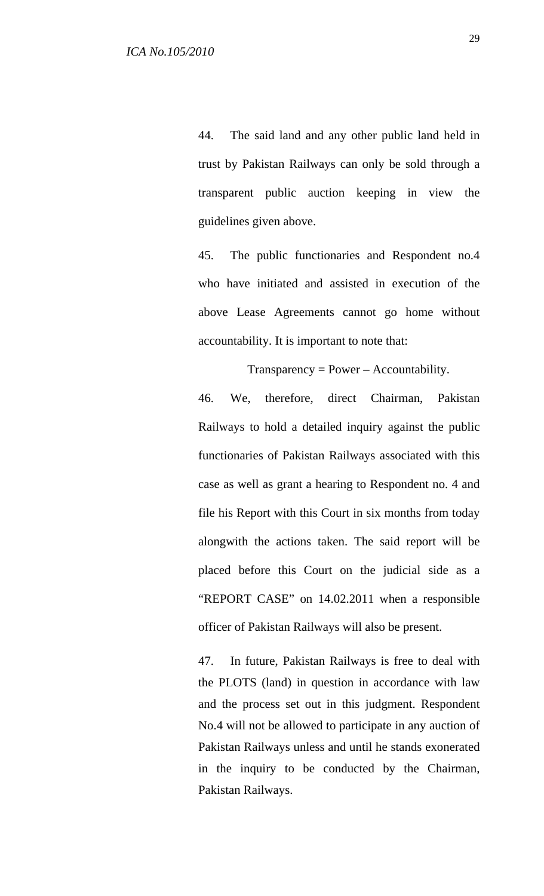44. The said land and any other public land held in trust by Pakistan Railways can only be sold through a transparent public auction keeping in view the guidelines given above.

45. The public functionaries and Respondent no.4 who have initiated and assisted in execution of the above Lease Agreements cannot go home without accountability. It is important to note that:

 $Transparency = Power - Accountability.$ 

46. We, therefore, direct Chairman, Pakistan Railways to hold a detailed inquiry against the public functionaries of Pakistan Railways associated with this case as well as grant a hearing to Respondent no. 4 and file his Report with this Court in six months from today alongwith the actions taken. The said report will be placed before this Court on the judicial side as a "REPORT CASE" on 14.02.2011 when a responsible officer of Pakistan Railways will also be present.

47. In future, Pakistan Railways is free to deal with the PLOTS (land) in question in accordance with law and the process set out in this judgment. Respondent No.4 will not be allowed to participate in any auction of Pakistan Railways unless and until he stands exonerated in the inquiry to be conducted by the Chairman, Pakistan Railways.